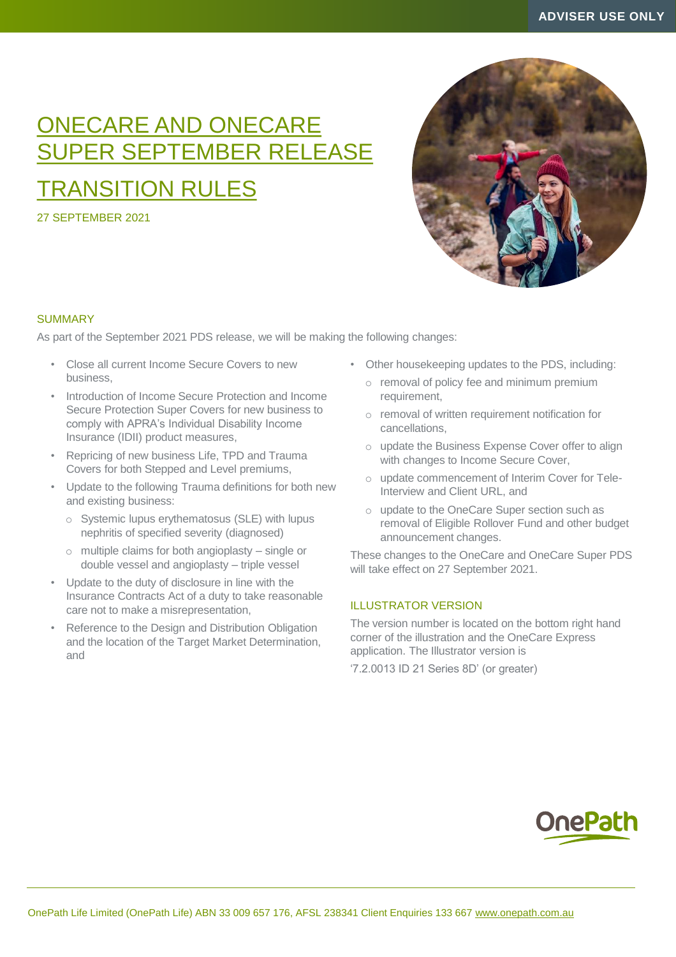# ONECARE AND ONECARE SUPER SEPTEMBER RELEASE

## TRANSITION RULES

27 SEPTEMBER 2021



## **SUMMARY**

As part of the September 2021 PDS release, we will be making the following changes:

- Close all current Income Secure Covers to new business,
- Introduction of Income Secure Protection and Income Secure Protection Super Covers for new business to comply with APRA's Individual Disability Income Insurance (IDII) product measures,
- Repricing of new business Life, TPD and Trauma Covers for both Stepped and Level premiums,
- Update to the following Trauma definitions for both new and existing business:
	- o Systemic lupus erythematosus (SLE) with lupus nephritis of specified severity (diagnosed)
	- o multiple claims for both angioplasty single or double vessel and angioplasty – triple vessel
- Update to the duty of disclosure in line with the Insurance Contracts Act of a duty to take reasonable care not to make a misrepresentation,
- Reference to the Design and Distribution Obligation and the location of the Target Market Determination, and
- Other housekeeping updates to the PDS, including:
	- o removal of policy fee and minimum premium requirement,
	- o removal of written requirement notification for cancellations,
	- o update the Business Expense Cover offer to align with changes to Income Secure Cover,
	- o update commencement of Interim Cover for Tele-Interview and Client URL, and
	- o update to the OneCare Super section such as removal of Eligible Rollover Fund and other budget announcement changes.

These changes to the OneCare and OneCare Super PDS will take effect on 27 September 2021.

## ILLUSTRATOR VERSION

The version number is located on the bottom right hand corner of the illustration and the OneCare Express application. The Illustrator version is

'7.2.0013 ID 21 Series 8D' (or greater)